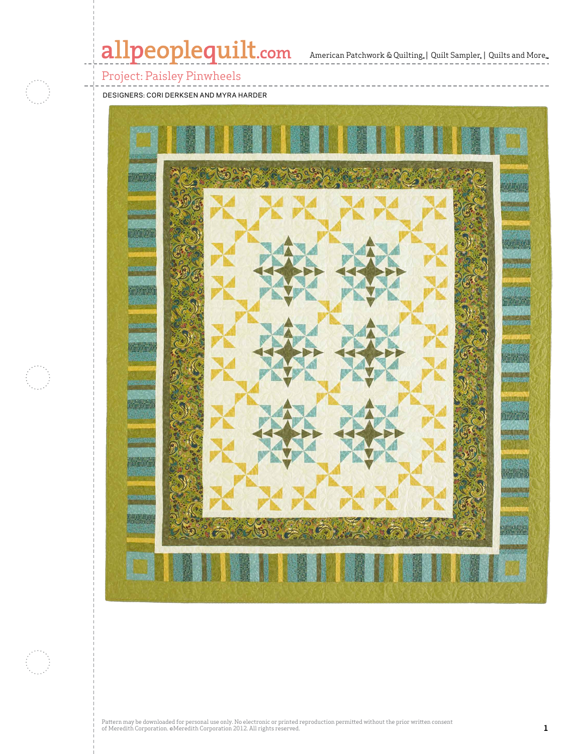# allpeoplequilt.com American Patchwork & Quilting, | Quilt Sampler, | Quilts and More...



### Project: Paisley Pinwheels

DESIGNERS: CORI DERKSEN AND MYRA HARDER

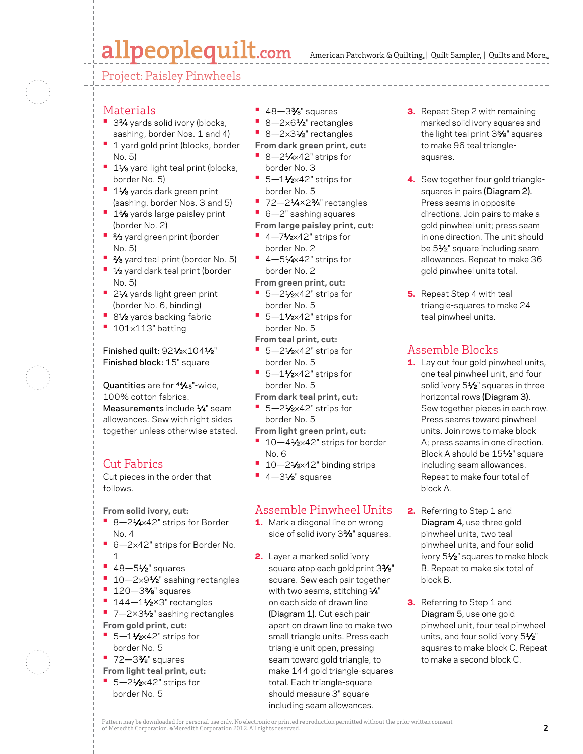# allpeoplequilt.com

American Patchwork & Quilting,  $|$  Quilt Sampler,  $|$  Quilts and More,

Project: Paisley Pinwheels



#### **Materials**

- 3<sup>3</sup>⁄4 yards solid ivory (blocks, sashing, border Nos. 1 and 4)
- **•** 1 yard gold print (blocks, border No. 5)
- **<sup>•</sup>** 11⁄8 yard light teal print (blocks, border No. 5)
- **•** 11⁄8 yards dark green print (sashing, border Nos. 3 and 5)
- **•** 1% yards large paisley print (border No. 2)
- **•** 2⁄3 yard green print (border No. 5)
- **•** 2⁄3 yard teal print (border No. 5)
- **•** 1⁄2 yard dark teal print (border No. 5)
- 21⁄4 yards light green print (border No. 6, binding)
- 81⁄2 yards backing fabric
- **•** <sup>101</sup>×113" batting

Finished quilt: 921/2×1041/2" Finished block: 15" square

Quantities are for 44⁄45"-wide, 100% cotton fabrics. Measurements include  $\frac{1}{4}$ " seam allowances. Sew with right sides together unless otherwise stated.

#### Cut Fabrics

Cut pieces in the order that follows.

**From solid ivory, cut:**

- 8-21⁄4×42" strips for Border No. 4
- **•** 6—2×42" strips for Border No. 1
- **•** 48—51⁄2" squares
- 10-2×9<sup>1</sup>/<sub>2</sub>" sashing rectangles
- **•** 120—33⁄8" squares
- <sup>1</sup> 144-11/<sub>2</sub>×3" rectangles
- 7-2×3<sup>1</sup>⁄<sub>2</sub>" sashing rectangles **From gold print, cut:**
- **•** 5—11⁄2×42" strips for border No. 5
- **•** 72—33⁄8" squares
- **From light teal print, cut:** ■ 5-21⁄2×42" strips for
	- border No. 5
- **•** 48—33⁄8" squares
- **•** 8—2×61⁄2" rectangles
- 8-2×3<sup>1</sup>/<sub>2</sub>" rectangles
- **From dark green print, cut:**
- **•** 8—21⁄4×42" strips for border No. 3
- 5-11⁄2×42" strips for border No. 5
- **•** 72—21⁄4×23⁄4" rectangles
- **•** 6—2" sashing squares
- **From large paisley print, cut:**
- **•** 4—71⁄2×42" strips for
- border No. 2
- **•** 4—51⁄4×42" strips for border No. 2
- **From green print, cut:**
- 5-21⁄2×42" strips for border No. 5
- **•** 5—11⁄2×42" strips for border No. 5
- **From teal print, cut: •** 5—21⁄2×42" strips for
- border No. 5
- 5–1½×42" strips for border No. 5
- **From dark teal print, cut:**
- 5-21⁄2×42" strips for border No. 5
- **From light green print, cut:**
- 10–41⁄<sub>2×42</sub>" strips for border No. 6
- 10–21⁄<sub>2×42</sub>" binding strips
- 4-31⁄2" squares

#### Assemble Pinwheel Units

- 1. Mark a diagonal line on wrong side of solid ivory 3%" squares.
- 2. Layer a marked solid ivory square atop each gold print 3%" square. Sew each pair together with two seams, stitching 1/4" on each side of drawn line (Diagram 1). Cut each pair apart on drawn line to make two small triangle units. Press each triangle unit open, pressing seam toward gold triangle, to make 144 gold triangle-squares total. Each triangle-square should measure 3" square including seam allowances.
- **3.** Repeat Step 2 with remaining marked solid ivory squares and the light teal print 33⁄8" squares to make 96 teal trianglesquares.
- 4. Sew together four gold trianglesquares in pairs (Diagram 2). Press seams in opposite directions. Join pairs to make a gold pinwheel unit; press seam in one direction. The unit should be 51⁄2" square including seam allowances. Repeat to make 36 gold pinwheel units total.
- **5.** Repeat Step 4 with teal triangle-squares to make 24 teal pinwheel units.

#### Assemble Blocks

- **1.** Lay out four gold pinwheel units, one teal pinwheel unit, and four solid ivory 51/<sub>2</sub>" squares in three horizontal rows (Diagram 3). Sew together pieces in each row. Press seams toward pinwheel units. Join rows to make block A; press seams in one direction. Block A should be 151⁄2" square including seam allowances. Repeat to make four total of block A.
- 2. Referring to Step 1 and Diagram 4, use three gold pinwheel units, two teal pinwheel units, and four solid ivory 51⁄2" squares to make block B. Repeat to make six total of block B.
- **3.** Referring to Step 1 and Diagram 5, use one gold pinwheel unit, four teal pinwheel units, and four solid ivory 51/2" squares to make block C. Repeat to make a second block C.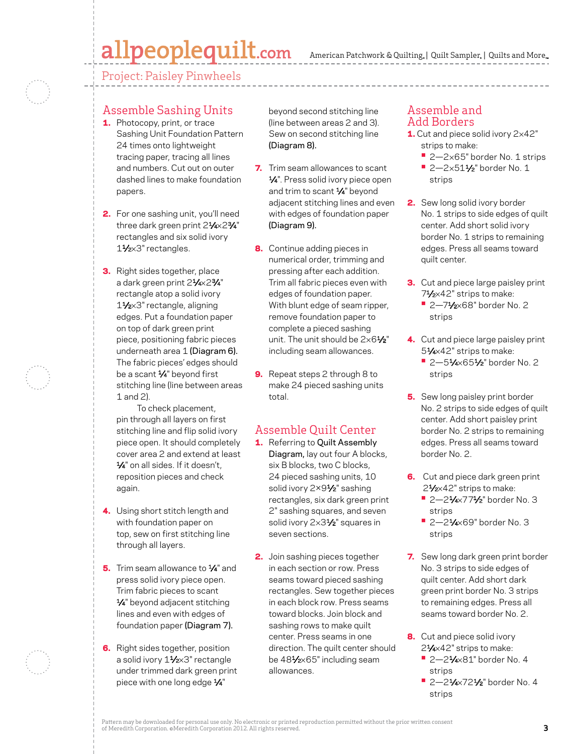## allpeoplequilt.com

American Patchwork & Quilting,  $|$  Quilt Sampler,  $|$  Quilts and More,

Project: Paisley Pinwheels

#### Assemble Sashing Units

- 1. Photocopy, print, or trace Sashing Unit Foundation Pattern 24 times onto lightweight tracing paper, tracing all lines and numbers. Cut out on outer dashed lines to make foundation papers.
- 2. For one sashing unit, you'll need three dark green print 21/4×23/4" rectangles and six solid ivory 1<sup>1</sup>/2×3" rectangles.
- **3.** Right sides together, place a dark green print 21⁄4×23⁄4" rectangle atop a solid ivory 11⁄2×3" rectangle, aligning edges. Put a foundation paper on top of dark green print piece, positioning fabric pieces underneath area 1 (Diagram 6). The fabric pieces' edges should be a scant  $\frac{1}{4}$ " beyond first stitching line (line between areas 1 and 2).

To check placement, pin through all layers on first stitching line and flip solid ivory piece open. It should completely cover area 2 and extend at least 1/4" on all sides. If it doesn't. reposition pieces and check again.

- 4. Using short stitch length and with foundation paper on top, sew on first stitching line through all layers.
- 5. Trim seam allowance to 1/4" and press solid ivory piece open. Trim fabric pieces to scant 1⁄4" beyond adjacent stitching lines and even with edges of foundation paper (Diagram 7).
- **6.** Right sides together, position a solid ivory 11⁄2×3" rectangle under trimmed dark green print piece with one long edge 1/4"

beyond second stitching line (line between areas 2 and 3). Sew on second stitching line (Diagram 8).

- **7.** Trim seam allowances to scant 1⁄4". Press solid ivory piece open and trim to scant 1⁄4" beyond adjacent stitching lines and even with edges of foundation paper (Diagram 9).
- **8.** Continue adding pieces in numerical order, trimming and pressing after each addition. Trim all fabric pieces even with edges of foundation paper. With blunt edge of seam ripper, remove foundation paper to complete a pieced sashing unit. The unit should be  $2\times6\frac{1}{2}$ " including seam allowances.
- 9. Repeat steps 2 through 8 to make 24 pieced sashing units total.

#### Assemble Quilt Center

- 1. Referring to Quilt Assembly Diagram, lay out four A blocks, six B blocks, two C blocks, 24 pieced sashing units, 10 solid ivory 2×91⁄2" sashing rectangles, six dark green print 2" sashing squares, and seven solid ivory 2×31/<sub>2</sub>" squares in seven sections.
- 2. Join sashing pieces together in each section or row. Press seams toward pieced sashing rectangles. Sew together pieces in each block row. Press seams toward blocks. Join block and sashing rows to make quilt center. Press seams in one direction. The quilt center should be 481⁄2×65" including seam allowances.

#### Assemble and Add Borders

- 1. Cut and piece solid ivory 2×42" strips to make:
	- **•** 2—2×65" border No. 1 strips
	- **•** 2—2×511⁄2" border No. 1 strips
- 2. Sew long solid ivory border No. 1 strips to side edges of quilt center. Add short solid ivory border No. 1 strips to remaining edges. Press all seams toward quilt center.
- **3.** Cut and piece large paisley print 7<sup>1</sup>/2×42" strips to make:
	- **•** 2—71⁄2×68" border No. 2 strips
- 4. Cut and piece large paisley print 51⁄4×42" strips to make:
	- **•** 2—51⁄4×651⁄2" border No. 2 strips
- **5.** Sew long paisley print border No. 2 strips to side edges of quilt center. Add short paisley print border No. 2 strips to remaining edges. Press all seams toward border No. 2.
- **6.** Cut and piece dark green print 2<sup>1</sup>⁄2×42" strips to make: **•** 2—21⁄4×771⁄2" border No. 3
	- strips **•** 2—21⁄4×69" border No. 3 strips
- 7. Sew long dark green print border No. 3 strips to side edges of quilt center. Add short dark green print border No. 3 strips to remaining edges. Press all seams toward border No. 2.
- 8. Cut and piece solid ivory 21⁄4×42" strips to make:
	- **•** 2—21⁄4×81" border No. 4 strips
	- **•** 2—21⁄4×721⁄2" border No. 4 strips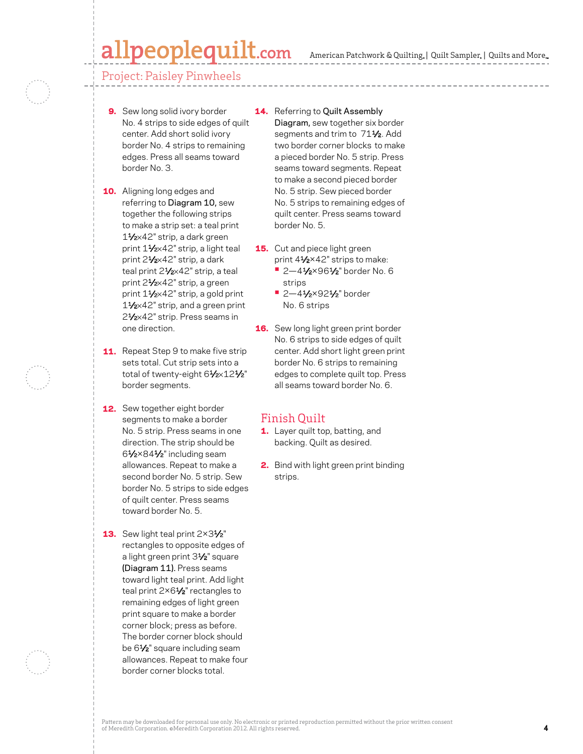### allpeoplequilt.com

American Patchwork & Quilting,  $|$  Quilt Sampler,  $|$  Quilts and More,

Project: Paisley Pinwheels

- 9. Sew long solid ivory border No. 4 strips to side edges of quilt center. Add short solid ivory border No. 4 strips to remaining edges. Press all seams toward border No. 3.
- **10.** Aligning long edges and referring to Diagram 10, sew together the following strips to make a strip set: a teal print 11⁄2×42" strip, a dark green print 11⁄2×42" strip, a light teal print 21/2×42" strip, a dark teal print 21/2×42" strip, a teal print 21⁄2×42" strip, a green print 11⁄2×42" strip, a gold print 11⁄2×42" strip, and a green print 21⁄2×42" strip. Press seams in one direction.
- **11.** Repeat Step 9 to make five strip sets total. Cut strip sets into a total of twenty-eight 61/2×121/2" border segments.
- **12.** Sew together eight border segments to make a border No. 5 strip. Press seams in one direction. The strip should be 61⁄2×841⁄2" including seam allowances. Repeat to make a second border No. 5 strip. Sew border No. 5 strips to side edges of quilt center. Press seams toward border No. 5.
- **13.** Sew light teal print  $2 \times 3\frac{1}{2}$ " rectangles to opposite edges of a light green print 31⁄2" square (Diagram 11). Press seams toward light teal print. Add light teal print 2×61/<sub>2</sub>" rectangles to remaining edges of light green print square to make a border corner block; press as before. The border corner block should be 61/<sub>2</sub>" square including seam allowances. Repeat to make four border corner blocks total.
- **14.** Referring to Quilt Assembly Diagram, sew together six border segments and trim to 711/2. Add two border corner blocks to make a pieced border No. 5 strip. Press seams toward segments. Repeat to make a second pieced border No. 5 strip. Sew pieced border No. 5 strips to remaining edges of quilt center. Press seams toward border No. 5.
- **15.** Cut and piece light green print 41⁄2×42" strips to make:
	- **•** 2—41⁄2×961⁄2" border No. 6 strips
	- **•** 2—41⁄2×921⁄2" border No. 6 strips
- **16.** Sew long light green print border No. 6 strips to side edges of quilt center. Add short light green print border No. 6 strips to remaining edges to complete quilt top. Press all seams toward border No. 6.

#### Finish Quilt

- 1. Layer quilt top, batting, and backing. Quilt as desired.
- 2. Bind with light green print binding strips.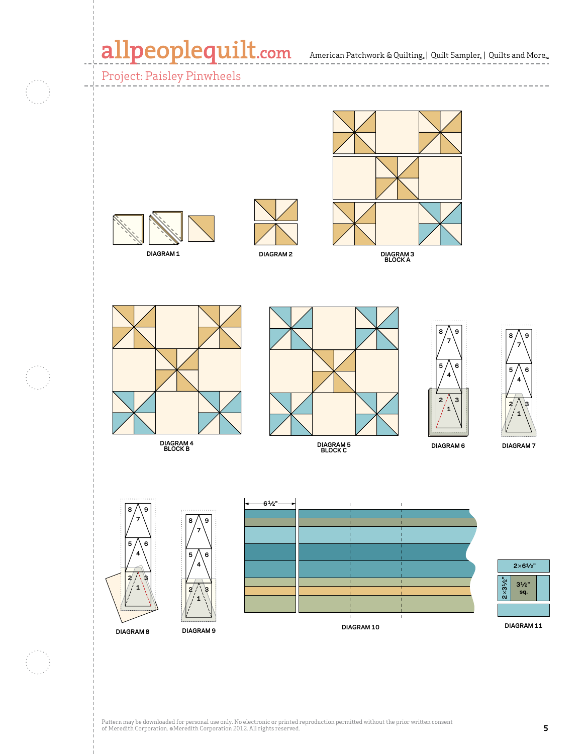### allpeoplequilt.com American Patchwork & Quilting, | Quilt Sampler, | Quilts and More...

Project: Paisley Pinwheels  $\cdots \cdots \cdots \cdots$ **APQ April 2007 Paisley Pinwheels Diagram 1 C. Neubauer 1-13-07** 1002 N **APQ April 2007 Paisley Pinwheels Diagram 4 C. Neubauer 1-13-07 100234954DIAGRAM 1 DIAGRAM 2 DIAGRAM 3 BLOCK A** 8  $\wedge$  9 **8 9 7 7**  $5 / 6$  $5 / \setminus 6$ **4 4**  $2 / 3$ 2 / \ 3 **1 Apple 1 1 Paisley Pinwheels APQ April 2007 Apple 19 Diagram 8**  $\mathcal{P}$ **Paisley Pinwheels C. N. I.** N. I. N. I. N. I. N. I. N. I. N. I. N. I. N. I. N. I. N. I. N. I. N. I. I. N. I. I. N. I. I. I. N. I **Diagram 9 100234958 C. Neubauer 1-13-07 C. New York 1-13-07 DIAGRAM 7 DIAGRAM 4 BLOCK B DIAGRAM 6 DIAGRAM 5 BLOCK C 61⁄2" 8 9 7 8 9 7** 5 / \ 6 **4** 5 / \ 6 **2**×**61⁄2" 4 2 3 2**×**31⁄2" 31⁄2" 1** 2 / \ 3 **sq. 1**  $\mathbf{I}$ **DIAGRAM 11**

**DIAGRAM 8**

**DIAGRAM 9**



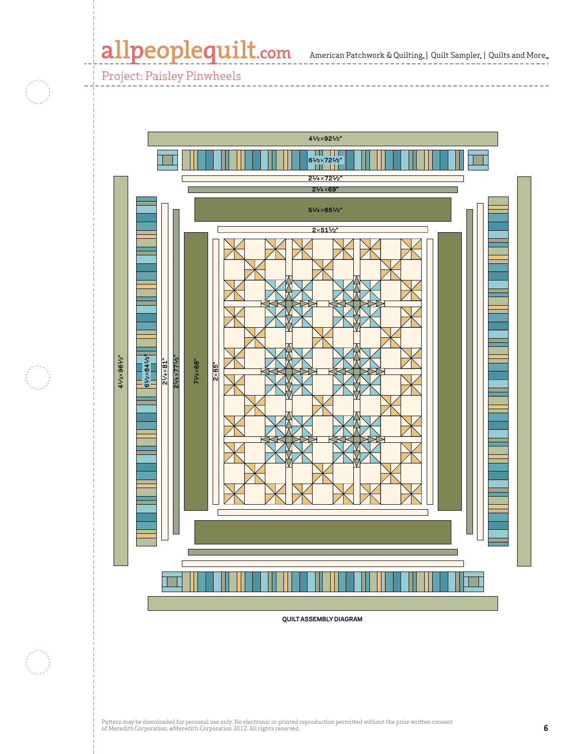### allpeoplequilt.com American Patchwork & Quilting, | Quilt Sampler, | Quilts and More..

-----------

Project: Paisley Pinwheels

- 3



**QUILT ASSEMBLY DIAGRAM**